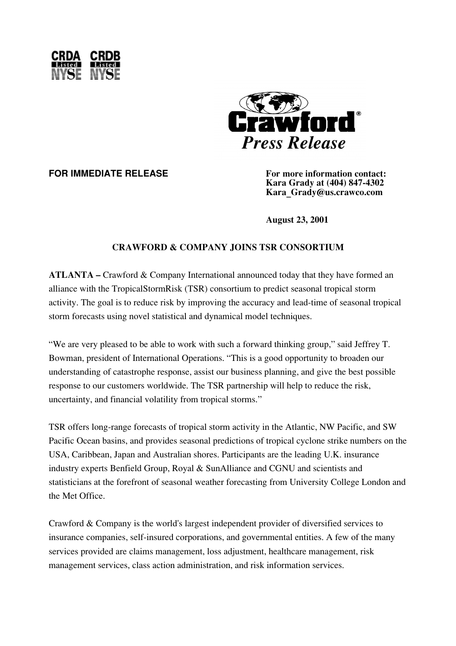



**FOR IMMEDIATE RELEASE For more information contact: Kara Grady at (404) 847-4302 Kara\_Grady@us.crawco.com**

**August 23, 2001**

## **CRAWFORD & COMPANY JOINS TSR CONSORTIUM**

**ATLANTA –** Crawford & Company International announced today that they have formed an alliance with the TropicalStormRisk (TSR) consortium to predict seasonal tropical storm activity. The goal is to reduce risk by improving the accuracy and lead-time of seasonal tropical storm forecasts using novel statistical and dynamical model techniques.

"We are very pleased to be able to work with such a forward thinking group," said Jeffrey T. Bowman, president of International Operations. "This is a good opportunity to broaden our understanding of catastrophe response, assist our business planning, and give the best possible response to our customers worldwide. The TSR partnership will help to reduce the risk, uncertainty, and financial volatility from tropical storms."

TSR offers long-range forecasts of tropical storm activity in the Atlantic, NW Pacific, and SW Pacific Ocean basins, and provides seasonal predictions of tropical cyclone strike numbers on the USA, Caribbean, Japan and Australian shores. Participants are the leading U.K. insurance industry experts Benfield Group, Royal & SunAlliance and CGNU and scientists and statisticians at the forefront of seasonal weather forecasting from University College London and the Met Office.

Crawford & Company is the world's largest independent provider of diversified services to insurance companies, self-insured corporations, and governmental entities. A few of the many services provided are claims management, loss adjustment, healthcare management, risk management services, class action administration, and risk information services.